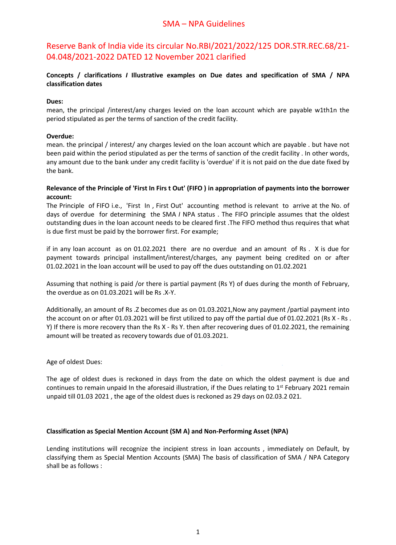# SMA – NPA Guidelines

Reserve Bank of India vide its circular No.RBI/2021/2022/125 DOR.STR.REC.68/21- 04.048/2021-2022 DATED 12 November 2021 clarified

# **Concepts / clarifications** *I* **Illustrative examples on Due dates and specification of SMA / NPA classification dates**

### **Dues:**

mean, the principal /interest/any charges levied on the loan account which are payable w1th1n the period stipulated as per the terms of sanction of the credit facility.

## **Overdue:**

mean. the principal / interest/ any charges levied on the loan account which are payable . but have not been paid within the period stipulated as per the terms of sanction of the credit facility . In other words, any amount due to the bank under any credit facility is 'overdue' if it is not paid on the due date fixed by the bank.

### Relevance of the Principle of 'First In Firs t Out' (FIFO) in appropriation of payments into the borrower **account:**

The Principle of FIFO i.e., 'First In , First Out' accounting method is relevant to arrive at the No. of days of overdue for determining the SMA *I* NPA status . The FIFO principle assumes that the oldest outstanding dues in the loan account needs to be cleared first .The FIFO method thus requires that what is due first must be paid by the borrower first. For example;

if in any loan account as on 01.02.2021 there are no overdue and an amount of Rs . X is due for payment towards principal installment/interest/charges, any payment being credited on or after 01.02.2021 in the loan account will be used to pay off the dues outstanding on 01.02.2021

Assuming that nothing is paid /or there is partial payment (Rs Y) of dues during the month of February, the overdue as on 01.03.2021 will be Rs .X-Y.

Additionally, an amount of Rs .Z becomes due as on 01.03.2021,Now any payment /partial payment into the account on or after 01.03.2021 will be first utilized to pay offthe partial due of 01.02.2021 (Rs X - Rs . Y) If there is more recovery than the Rs X - Rs Y. then after recovering dues of 01.02.2021, the remaining amount will be treated as recovery towards due of 01.03.2021.

#### Age of oldest Dues:

The age of oldest dues is reckoned in days from the date on which the oldest payment is due and continues to remain unpaid In the aforesaid illustration, if the Dues relating to 1<sup>st</sup> February 2021 remain unpaid till 01.03 2021 , the age of the oldest dues is reckoned as 29 days on 02.03.2 021.

. .

#### **Classification as Special Mention Account(SM A) and Non-Performing Asset (NPA)**

Lending institutions will recognize the incipient stress in loan accounts , immediately on Default, by classifying them as Special Mention Accounts (SMA) The basis of classification of SMA / NPA Category shall be as follows :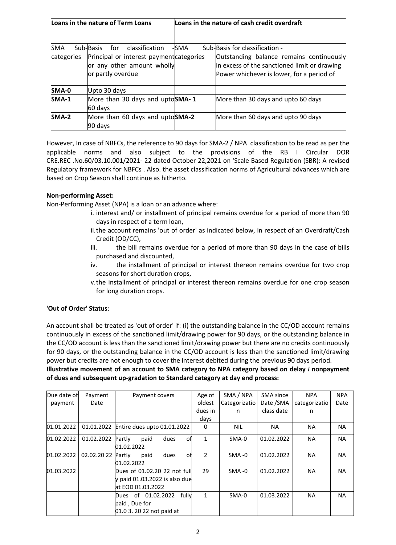|                          | Loans in the nature of Term Loans                                                                                                 |      | Loans in the nature of cash credit overdraft                                                                                                                            |
|--------------------------|-----------------------------------------------------------------------------------------------------------------------------------|------|-------------------------------------------------------------------------------------------------------------------------------------------------------------------------|
| <b>SMA</b><br>categories | Sub-Basis<br>classification<br>for<br>Principal or interest payment categories<br>or any other amount wholly<br>or partly overdue | -SMA | Sub-Basis for classification -<br>Outstanding balance remains continuously<br>in excess of the sanctioned limit or drawing<br>Power whichever is lower, for a period of |
| SMA-0                    | Upto 30 days                                                                                                                      |      |                                                                                                                                                                         |
| $SMA-1$                  | More than 30 days and uptoSMA-1<br>$60$ days                                                                                      |      | More than 30 days and upto 60 days                                                                                                                                      |
| $SMA-2$                  | More than 60 days and uptoSMA-2<br>$90$ days                                                                                      |      | More than 60 days and upto 90 days                                                                                                                                      |

However, In case of NBFCs, the reference to 90 days for SMA-2 / NPA classification to be read as per the applicable norms and also subject to the provisions of the RB I Circular DOR CRE.REC .No.60/03.10.001/2021- 22 dated October 22,2021 on 'Scale Based Regulation (SBR): A revised Regulatory framework for NBFCs . Also. the asset classification norms of Agricultural advances which are based on Crop Season shall continue as hitherto.

## **Non-performing Asset:**

Non-Performing Asset (NPA) is a loan or an advance where:

- i. interest and/ or installment of principal remains overdue for a period of more than 90 days in respect of a term loan,
- ii.the account remains 'out of order' as indicated below, in respect of an Overdraft/Cash Credit (OD/CC),
- iii. the bill remains overdue for a period of more than 90 days in the case of bills purchased and discounted,
- iv. the installment of principal or interest thereon remains overdue for two crop seasons for short duration crops,
- v.the installment of principal or interest thereon remains overdue for one crop season for long duration crops.

# **'Out of Order' Status**:

An account shall be treated as 'out of order' if: (i) the outstanding balance in the CC/OD account remains continuously in excess of the sanctioned limit/drawing power for 90 days, or the outstanding balance in the CC/OD account isless than the sanctioned limit/drawing power but there are no credits continuously for 90 days, or the outstanding balance in the CC/OD account is less than the sanctioned limit/drawing power but credits are not enough to cover the interest debited during the previous 90 days period.

**Illustrative movement of an account to SMA category to NPA category based on delay** *I* **nonpayment of dues and subsequent up-gradation to Standard category at day end process:**

| Due date of          | Payment            | Payment covers                         | Age of         | SMA / NPA     | SMA since  | <b>NPA</b>    | <b>NPA</b> |
|----------------------|--------------------|----------------------------------------|----------------|---------------|------------|---------------|------------|
| payment              | Date               |                                        | oldest         | Categorizatio | Date /SMA  | categorizatio | Date       |
|                      |                    |                                        | dues in        | n             | class date | n             |            |
|                      |                    |                                        | days           |               |            |               |            |
| 01.01.2022           |                    | 01.01.2022 Entire dues upto 01.01.2022 | 0              | <b>NIL</b>    | <b>NA</b>  | <b>NA</b>     | <b>NA</b>  |
| 01.02.2022           | 01.02.2022         | paid<br>Partly<br>dues<br>οfl          |                | SMA-0         | 01.02.2022 | <b>NA</b>     | <b>NA</b>  |
|                      |                    | 01.02.2022                             |                |               |            |               |            |
| 01.02.2022           | 02.02.20 22 Partly | paid<br>dues<br>ofl                    | $\overline{2}$ | $SMA -0$      | 01.02.2022 | <b>NA</b>     | <b>NA</b>  |
|                      |                    | 01.02.2022                             |                |               |            |               |            |
| $ 01.03.2022\rangle$ |                    | Dues of 01.02.20 22 not full           | 29             | $SMA -0$      | 01.02.2022 | <b>NA</b>     | <b>NA</b>  |
|                      |                    | y paid 01.03.2022 is also due          |                |               |            |               |            |
|                      |                    | at EOD 01.03.2022                      |                |               |            |               |            |
|                      |                    | fully<br>Dues of 01.02.2022            | 1              | SMA-0         | 01.03.2022 | <b>NA</b>     | <b>NA</b>  |
|                      |                    | paid, Due for                          |                |               |            |               |            |
|                      |                    | 01.0 3. 20 22 not paid at              |                |               |            |               |            |